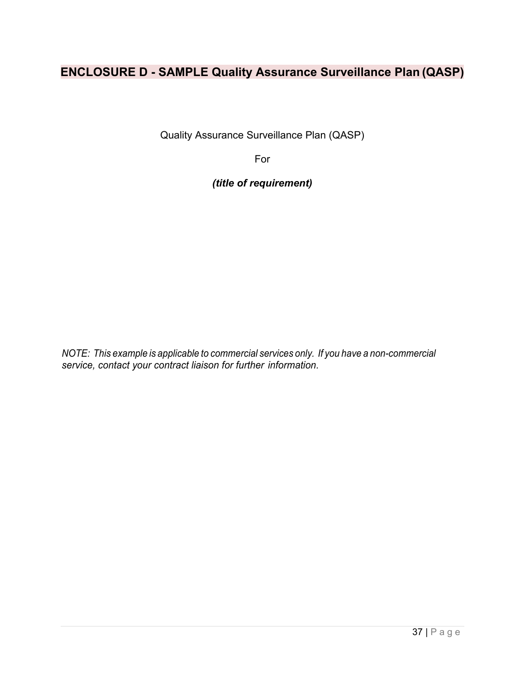# **ENCLOSURE D - SAMPLE Quality Assurance Surveillance Plan (QASP)**

Quality Assurance Surveillance Plan (QASP)

For

*(title of requirement)* 

*NOTE: This example is applicable to commercial services only. If you have a non-commercial service, contact your contract liaison for further information.*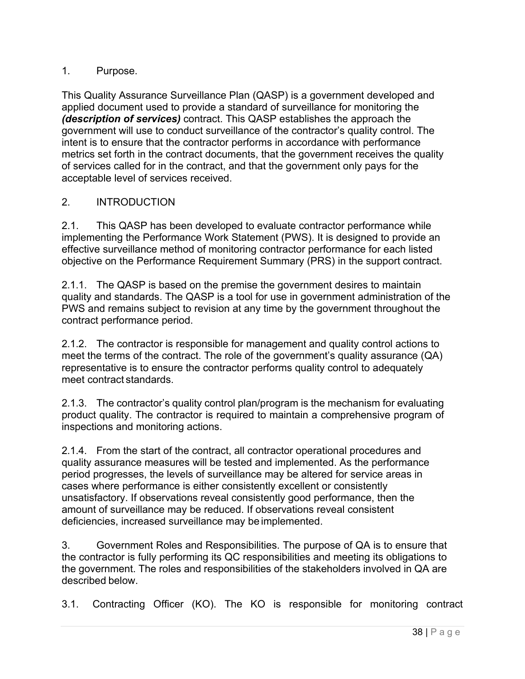#### 1. Purpose.

This Quality Assurance Surveillance Plan (QASP) is a government developed and applied document used to provide a standard of surveillance for monitoring the *(description of services)* contract. This QASP establishes the approach the government will use to conduct surveillance of the contractor's quality control. The intent is to ensure that the contractor performs in accordance with performance metrics set forth in the contract documents, that the government receives the quality of services called for in the contract, and that the government only pays for the acceptable level of services received.

#### 2. INTRODUCTION

2.1. This QASP has been developed to evaluate contractor performance while implementing the Performance Work Statement (PWS). It is designed to provide an effective surveillance method of monitoring contractor performance for each listed objective on the Performance Requirement Summary (PRS) in the support contract.

2.1.1. The QASP is based on the premise the government desires to maintain quality and standards. The QASP is a tool for use in government administration of the PWS and remains subject to revision at any time by the government throughout the contract performance period.

2.1.2. The contractor is responsible for management and quality control actions to meet the terms of the contract. The role of the government's quality assurance (QA) representative is to ensure the contractor performs quality control to adequately meet contract standards.

2.1.3. The contractor's quality control plan/program is the mechanism for evaluating product quality. The contractor is required to maintain a comprehensive program of inspections and monitoring actions.

2.1.4. From the start of the contract, all contractor operational procedures and quality assurance measures will be tested and implemented. As the performance period progresses, the levels of surveillance may be altered for service areas in cases where performance is either consistently excellent or consistently unsatisfactory. If observations reveal consistently good performance, then the amount of surveillance may be reduced. If observations reveal consistent deficiencies, increased surveillance may be implemented.

3. Government Roles and Responsibilities. The purpose of QA is to ensure that the contractor is fully performing its QC responsibilities and meeting its obligations to the government. The roles and responsibilities of the stakeholders involved in QA are described below.

3.1. Contracting Officer (KO). The KO is responsible for monitoring contract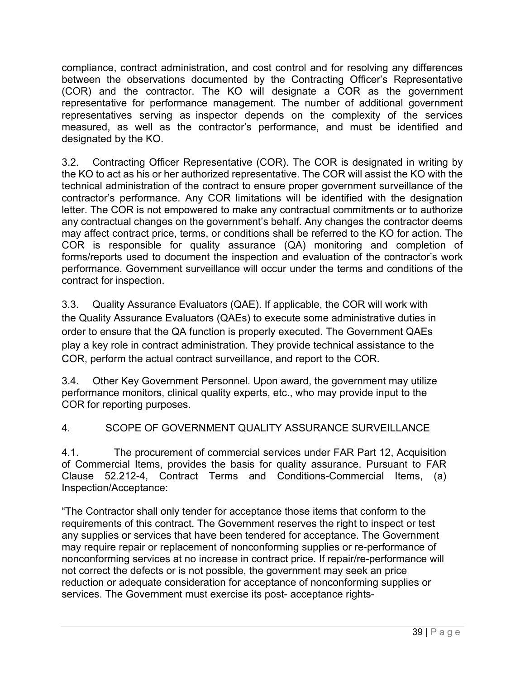compliance, contract administration, and cost control and for resolving any differences between the observations documented by the Contracting Officer's Representative (COR) and the contractor. The KO will designate a COR as the government representative for performance management. The number of additional government representatives serving as inspector depends on the complexity of the services measured, as well as the contractor's performance, and must be identified and designated by the KO.

3.2. Contracting Officer Representative (COR). The COR is designated in writing by the KO to act as his or her authorized representative. The COR will assist the KO with the technical administration of the contract to ensure proper government surveillance of the contractor's performance. Any COR limitations will be identified with the designation letter. The COR is not empowered to make any contractual commitments or to authorize any contractual changes on the government's behalf. Any changes the contractor deems may affect contract price, terms, or conditions shall be referred to the KO for action. The COR is responsible for quality assurance (QA) monitoring and completion of forms/reports used to document the inspection and evaluation of the contractor's work performance. Government surveillance will occur under the terms and conditions of the contract for inspection.

3.3. Quality Assurance Evaluators (QAE). If applicable, the COR will work with the Quality Assurance Evaluators (QAEs) to execute some administrative duties in order to ensure that the QA function is properly executed. The Government QAEs play a key role in contract administration. They provide technical assistance to the COR, perform the actual contract surveillance, and report to the COR.

3.4. Other Key Government Personnel. Upon award, the government may utilize performance monitors, clinical quality experts, etc., who may provide input to the COR for reporting purposes.

## 4. SCOPE OF GOVERNMENT QUALITY ASSURANCE SURVEILLANCE

4.1. The procurement of commercial services under FAR Part 12, Acquisition of Commercial Items, provides the basis for quality assurance. Pursuant to FAR Clause 52.212-4, Contract Terms and Conditions-Commercial Items, (a) Inspection/Acceptance:

"The Contractor shall only tender for acceptance those items that conform to the requirements of this contract. The Government reserves the right to inspect or test any supplies or services that have been tendered for acceptance. The Government may require repair or replacement of nonconforming supplies or re-performance of nonconforming services at no increase in contract price. If repair/re-performance will not correct the defects or is not possible, the government may seek an price reduction or adequate consideration for acceptance of nonconforming supplies or services. The Government must exercise its post- acceptance rights-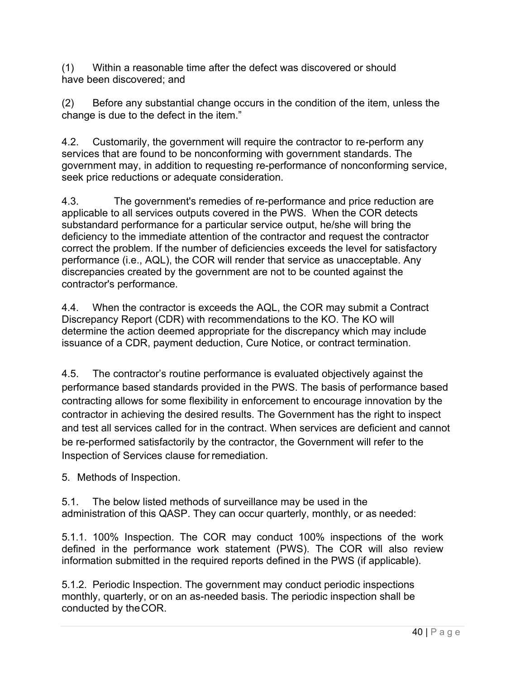(1) Within a reasonable time after the defect was discovered or should have been discovered; and

(2) Before any substantial change occurs in the condition of the item, unless the change is due to the defect in the item."

4.2. Customarily, the government will require the contractor to re-perform any services that are found to be nonconforming with government standards. The government may, in addition to requesting re-performance of nonconforming service, seek price reductions or adequate consideration.

4.3. The government's remedies of re-performance and price reduction are applicable to all services outputs covered in the PWS. When the COR detects substandard performance for a particular service output, he/she will bring the deficiency to the immediate attention of the contractor and request the contractor correct the problem. If the number of deficiencies exceeds the level for satisfactory performance (i.e., AQL), the COR will render that service as unacceptable. Any discrepancies created by the government are not to be counted against the contractor's performance.

4.4. When the contractor is exceeds the AQL, the COR may submit a Contract Discrepancy Report (CDR) with recommendations to the KO. The KO will determine the action deemed appropriate for the discrepancy which may include issuance of a CDR, payment deduction, Cure Notice, or contract termination.

4.5. The contractor's routine performance is evaluated objectively against the performance based standards provided in the PWS. The basis of performance based contracting allows for some flexibility in enforcement to encourage innovation by the contractor in achieving the desired results. The Government has the right to inspect and test all services called for in the contract. When services are deficient and cannot be re-performed satisfactorily by the contractor, the Government will refer to the Inspection of Services clause for remediation.

5. Methods of Inspection.

5.1. The below listed methods of surveillance may be used in the administration of this QASP. They can occur quarterly, monthly, or as needed:

5.1.1. 100% Inspection. The COR may conduct 100% inspections of the work defined in the performance work statement (PWS). The COR will also review information submitted in the required reports defined in the PWS (if applicable).

5.1.2. Periodic Inspection. The government may conduct periodic inspections monthly, quarterly, or on an as-needed basis. The periodic inspection shall be conducted by the COR.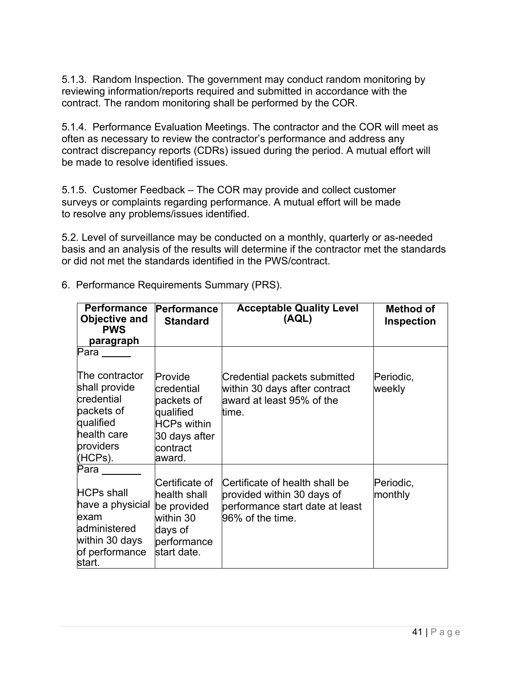5.1.3. Random Inspection. The government may conduct random monitoring by reviewing information/reports required and submitted in accordance with the contract. The random monitoring shall be performed by the COR.

5.1.4. Performance Evaluation Meetings. The contractor and the COR will meet as often as necessary to review the contractor's performance and address any contract discrepancy reports (CDRs) issued during the period. A mutual effort will be made to resolve identified issues.

5.1.5. Customer Feedback – The COR may provide and collect customer surveys or complaints regarding performance. A mutual effort will be made to resolve any problems/issues identified.

5.2. Level of surveillance may be conducted on a monthly, quarterly or as-needed basis and an analysis of the results will determine if the contractor met the standards or did not met the standards identified in the PWS/contract.

| <b>Performance</b><br><b>Objective and</b><br><b>PWS</b><br>paragraph                                               | Performance<br><b>Standard</b>                                                                                       | <b>Acceptable Quality Level</b><br>(AQL)                                                                            | Method of<br><b>Inspection</b> |
|---------------------------------------------------------------------------------------------------------------------|----------------------------------------------------------------------------------------------------------------------|---------------------------------------------------------------------------------------------------------------------|--------------------------------|
| Para                                                                                                                |                                                                                                                      |                                                                                                                     |                                |
| The contractor<br>shall provide<br>credential<br>packets of<br>qualified<br>health care<br>providers<br>(HCPs).     | Provide<br><b>credential</b><br>packets of<br>qualified<br><b>HCPs within</b><br>30 days after<br>contract<br>award. | Credential packets submitted<br>within 30 days after contract<br>award at least 95% of the<br>time.                 | Periodic,<br>weekly            |
| Para<br><b>HCPs shall</b><br>have a physicial<br>exam<br>administered<br>within 30 days<br>of performance<br>start. | Certificate of<br>health shall<br>be provided<br>within 30<br>days of<br>performance<br>start date.                  | Certificate of health shall be<br>provided within 30 days of<br>performance start date at least<br>96% of the time. | Periodic,<br>monthly           |

6. Performance Requirements Summary (PRS).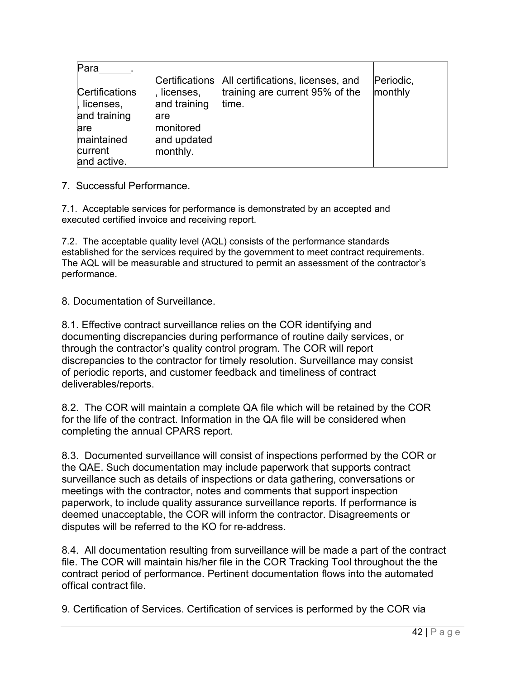| Para                  |              |                                                  |           |
|-----------------------|--------------|--------------------------------------------------|-----------|
|                       |              | Certifications All certifications, licenses, and | Periodic, |
| <b>Certifications</b> | licenses,    | training are current 95% of the                  | monthly   |
| , licenses,           | and training | time.                                            |           |
| and training          | lare         |                                                  |           |
| lare                  | monitored    |                                                  |           |
| maintained            | and updated  |                                                  |           |
| current               | monthly.     |                                                  |           |
| and active.           |              |                                                  |           |

7. Successful Performance.

7.1. Acceptable services for performance is demonstrated by an accepted and executed certified invoice and receiving report.

7.2. The acceptable quality level (AQL) consists of the performance standards established for the services required by the government to meet contract requirements. The AQL will be measurable and structured to permit an assessment of the contractor's performance.

8. Documentation of Surveillance.

8.1. Effective contract surveillance relies on the COR identifying and documenting discrepancies during performance of routine daily services, or through the contractor's quality control program. The COR will report discrepancies to the contractor for timely resolution. Surveillance may consist of periodic reports, and customer feedback and timeliness of contract deliverables/reports.

8.2. The COR will maintain a complete QA file which will be retained by the COR for the life of the contract. Information in the QA file will be considered when completing the annual CPARS report.

8.3. Documented surveillance will consist of inspections performed by the COR or the QAE. Such documentation may include paperwork that supports contract surveillance such as details of inspections or data gathering, conversations or meetings with the contractor, notes and comments that support inspection paperwork, to include quality assurance surveillance reports. If performance is deemed unacceptable, the COR will inform the contractor. Disagreements or disputes will be referred to the KO for re-address.

8.4. All documentation resulting from surveillance will be made a part of the contract file. The COR will maintain his/her file in the COR Tracking Tool throughout the the contract period of performance. Pertinent documentation flows into the automated offical contract file.

9. Certification of Services. Certification of services is performed by the COR via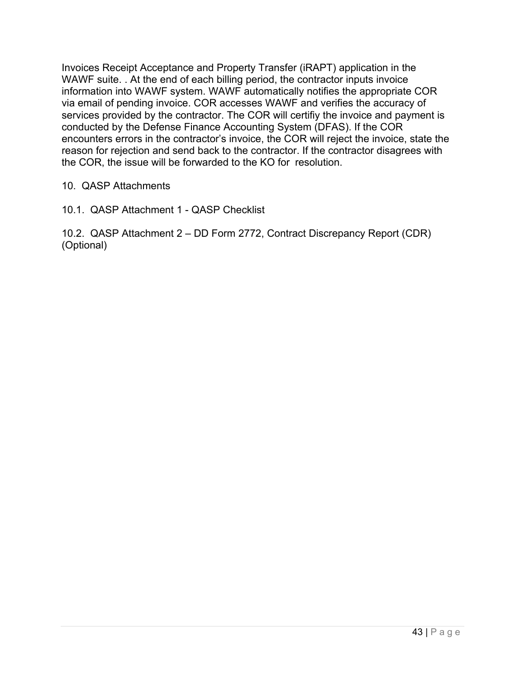Invoices Receipt Acceptance and Property Transfer (iRAPT) application in the WAWF suite. . At the end of each billing period, the contractor inputs invoice information into WAWF system. WAWF automatically notifies the appropriate COR via email of pending invoice. COR accesses WAWF and verifies the accuracy of services provided by the contractor. The COR will certifiy the invoice and payment is conducted by the Defense Finance Accounting System (DFAS). If the COR encounters errors in the contractor's invoice, the COR will reject the invoice, state the reason for rejection and send back to the contractor. If the contractor disagrees with the COR, the issue will be forwarded to the KO for resolution.

- 10. QASP Attachments
- 10.1. QASP Attachment 1 QASP Checklist

10.2. QASP Attachment 2 – DD Form 2772, Contract Discrepancy Report (CDR) (Optional)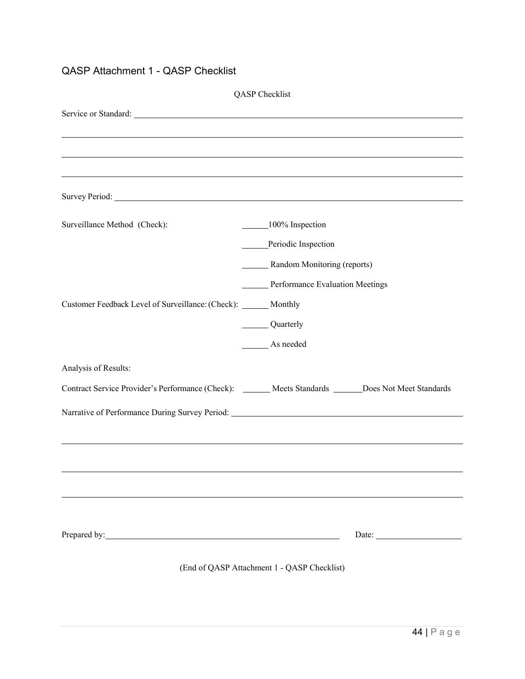## QASP Attachment 1 - QASP Checklist

|                                                                  | QASP Checklist                                                                                        |
|------------------------------------------------------------------|-------------------------------------------------------------------------------------------------------|
|                                                                  |                                                                                                       |
|                                                                  |                                                                                                       |
|                                                                  |                                                                                                       |
|                                                                  | ,我们也不会有什么。""我们的人,我们也不会有什么?""我们的人,我们也不会有什么?""我们的人,我们也不会有什么?""我们的人,我们也不会有什么?""我们的人                      |
|                                                                  |                                                                                                       |
| Surveillance Method (Check):                                     | 100% Inspection                                                                                       |
|                                                                  | Periodic Inspection                                                                                   |
|                                                                  | _______ Random Monitoring (reports)                                                                   |
|                                                                  | Performance Evaluation Meetings                                                                       |
| Customer Feedback Level of Surveillance: (Check): ______ Monthly |                                                                                                       |
|                                                                  | Quarterly                                                                                             |
|                                                                  | As needed                                                                                             |
| Analysis of Results:                                             |                                                                                                       |
|                                                                  | Contract Service Provider's Performance (Check): ______ Meets Standards _____ Does Not Meet Standards |
|                                                                  | Narrative of Performance During Survey Period: __________________________________                     |
|                                                                  |                                                                                                       |
|                                                                  |                                                                                                       |
|                                                                  |                                                                                                       |
|                                                                  |                                                                                                       |
| Prepared by: Note and South Prepared by:                         |                                                                                                       |
|                                                                  |                                                                                                       |
|                                                                  | (End of QASP Attachment 1 - QASP Checklist)                                                           |